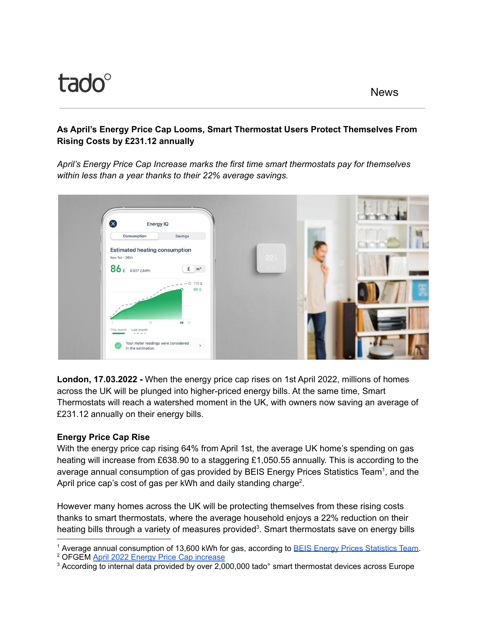## **As April's Energy Price Cap Looms, Smart Thermostat Users Protect Themselves From Rising Costs by £231.12 annually**

*April's Energy Price Cap Increase marks the first time smart thermostats pay for themselves within less than a year thanks to their 22% average savings.*



**London, 17.03.2022 -** When the energy price cap rises on 1st April 2022, millions of homes across the UK will be plunged into higher-priced energy bills. At the same time, Smart Thermostats will reach a watershed moment in the UK, with owners now saving an average of £231.12 annually on their energy bills.

# **Energy Price Cap Rise**

With the energy price cap rising 64% from April 1st, the average UK home's spending on gas heating will increase from £638.90 to a staggering £1,050.55 annually. This is according to the average annual consumption of gas provided by BEIS Energy Prices Statistics Team<sup>1</sup>, and the April price cap's cost of gas per kWh and daily standing charge<sup>2</sup>.

However many homes across the UK will be protecting themselves from these rising costs thanks to smart thermostats, where the average household enjoys a 22% reduction on their heating bills through a variety of measures provided<sup>3</sup>. Smart thermostats save on energy bills

<sup>&</sup>lt;sup>1</sup> Average annual consumption of 13,600 kWh for gas, according to BEIS Energy Prices [Statistics](https://www.gov.uk/government/statistical-data-sets/annual-domestic-energy-price-statistics) Team.

<sup>&</sup>lt;sup>2</sup> OFGEM **April 2022 Energy Price Cap [increase](https://www.ofgem.gov.uk/information-consumers/energy-advice-households/check-if-energy-price-cap-affects-you)** 

<sup>&</sup>lt;sup>3</sup> According to internal data provided by over 2,000,000 tado° smart thermostat devices across Europe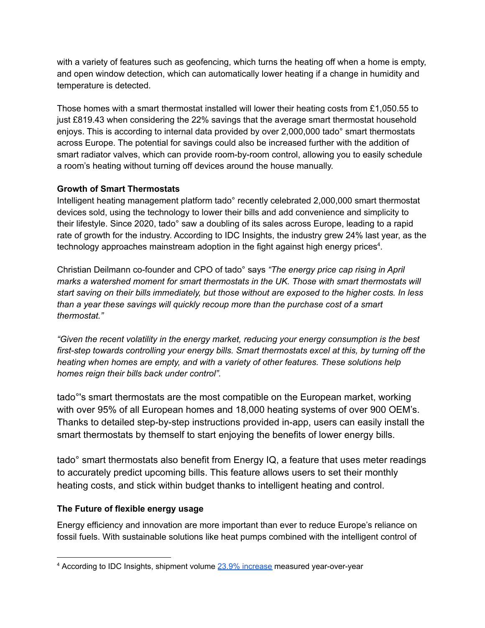with a variety of features such as geofencing, which turns the heating off when a home is empty, and open window detection, which can automatically lower heating if a change in humidity and temperature is detected.

Those homes with a smart thermostat installed will lower their heating costs from £1,050.55 to just £819.43 when considering the 22% savings that the average smart thermostat household enjoys. This is according to internal data provided by over 2,000,000 tado° smart thermostats across Europe. The potential for savings could also be increased further with the addition of smart radiator valves, which can provide room-by-room control, allowing you to easily schedule a room's heating without turning off devices around the house manually.

### **Growth of Smart Thermostats**

Intelligent heating management platform tado° recently celebrated 2,000,000 smart thermostat devices sold, using the technology to lower their bills and add convenience and simplicity to their lifestyle. Since 2020, tado° saw a doubling of its sales across Europe, leading to a rapid rate of growth for the industry. According to IDC Insights, the industry grew 24% last year, as the technology approaches mainstream adoption in the fight against high energy prices<sup>4</sup>.

Christian Deilmann co-founder and CPO of tado° says *"The energy price cap rising in April marks a watershed moment for smart thermostats in the UK. Those with smart thermostats will start saving on their bills immediately, but those without are exposed to the higher costs. In less than a year these savings will quickly recoup more than the purchase cost of a smart thermostat."*

*"Given the recent volatility in the energy market, reducing your energy consumption is the best first-step towards controlling your energy bills. Smart thermostats excel at this, by turning off the heating when homes are empty, and with a variety of other features. These solutions help homes reign their bills back under control".*

tado°'s smart thermostats are the most compatible on the European market, working with over 95% of all European homes and 18,000 heating systems of over 900 OEM's. Thanks to detailed step-by-step instructions provided in-app, users can easily install the smart thermostats by themself to start enjoying the benefits of lower energy bills.

tado° smart thermostats also benefit from Energy IQ, a feature that uses meter readings to accurately predict upcoming bills. This feature allows users to set their monthly heating costs, and stick within budget thanks to intelligent heating and control.

# **The Future of flexible energy usage**

Energy efficiency and innovation are more important than ever to reduce Europe's reliance on fossil fuels. With sustainable solutions like heat pumps combined with the intelligent control of

<sup>4</sup> According to IDC Insights, shipment volume 23.9% [increase](https://www.idc.com/getdoc.jsp?containerId=prUS48502821) measured year-over-year